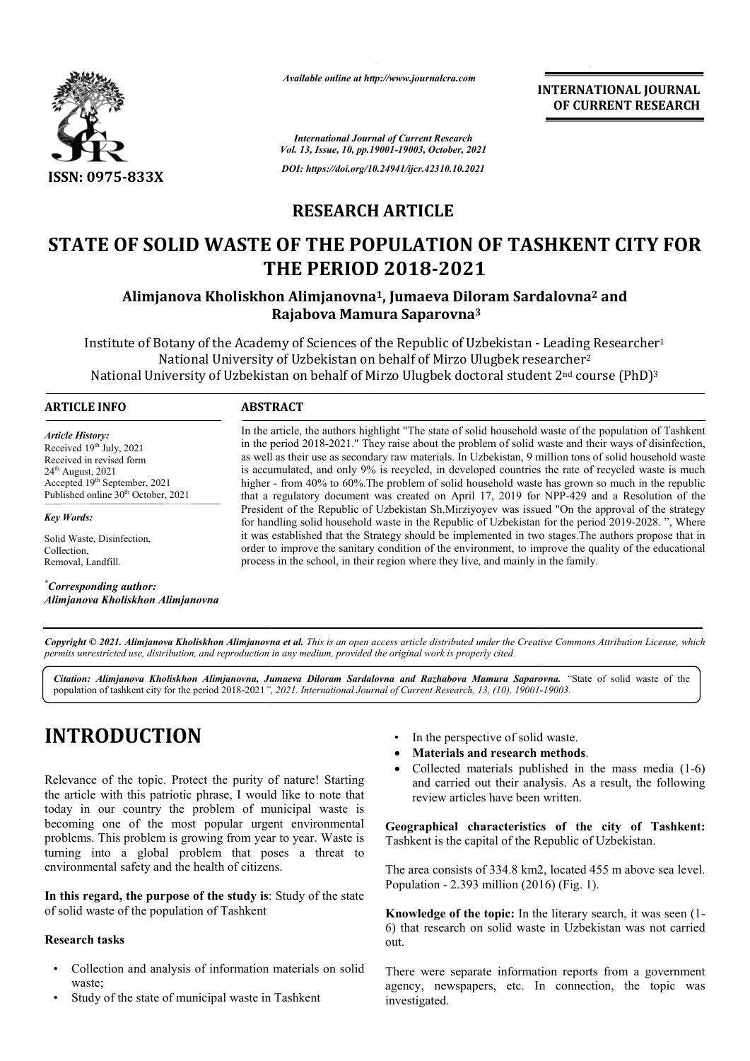

*Available online at http://www.journalcra.com*

**INTERNATIONAL JOURNAL OF CURRENT RESEARCH**

*International Journal of Current Research Vol. 13, Issue, 10, pp.19001-19003, October, 2021 DOI: https://doi.org/10.24941/ijcr.42310.10.2021*

# **RESEARCH ARTICLE**

# **STATE OF SOLID WASTE OF THE POPULATION OF TASHKENT CITY FOR THE PERIOD 2018 2018-2021**

**Alimjanova Kholiskhon Alimjanovna Alimjanovna1, Jumaeva Diloram Sardalovna , Diloram Sardalovna2 and Rajabova Mamura Saparovna3**

Institute of Botany of the Academy of Sciences of the Republic of Uzbekistan - Leading Researcher<sup>1</sup> National University of Uzbekistan on behalf of Mirzo Ulugbek researcher<sup>2</sup> National University of Uzbekistan on behalf of Mirzo Ulugbek doctoral student 2<sup>nd</sup> course (PhD)<sup>3</sup>

### **ARTICLE INFO ABSTRACT**

*Article History: Article History:* Received  $19<sup>th</sup>$  July, 2021 Received in revised form<br>24<sup>th</sup> August, 2021  $24<sup>th</sup>$  August,  $2021$ Accepted 19<sup>th</sup> September, 2021 Published online 30<sup>th</sup> October, 2021

*Key Words:*

Solid Waste, Disinfection, Collection, Removal, Landfill.

*\* Corresponding author: Alimjanova Kholiskhon Alimjanovna*

In the article, the authors highlight "The state of solid household waste of the population of Tashkent in the period 2018-2021." They raise about the problem of solid waste and their ways of disinfection, as well as their use as secondary raw materials. In Uzbekistan, 9 million tons of solid household waste is accumulated, and only 9% is recycled, in developed countries the rate of recycled waste is much higher - from 40% to 60%. The problem of solid household waste has grown so much in the republic higher - from 40% to 60%. The problem of solid household waste has grown so much in the republic that a regulatory document was created on April 17, 2019 for NPP-429 and a Resolution of the President of the Republic of Uzbekistan Sh.Mirziyoyev was issued "On the approval of the strategy President of the Republic of Uzbekistan Sh.Mirziyoyev was issued "On the approval of the strategy for handling solid household waste in the Republic of Uzbekistan for the period 2019-2028. ", Where it was established that the Strategy should be implemented in two stages. The authors propose that in order to improve the sanitary condition of the environment, to improve the quality of the educational process in the school, in their region where they live, and mainly in the family. process in the school, in their region where they live, and mainly in the family. In the article, the authors highlight "The state of solid household waste of the population of Tashkent<br>in the period 2018-2021." They raise about the problem of solid waste and their ways of disinfection,<br>as well as their

Copyright © 2021. Alimjanova Kholiskhon Alimjanovna et al. This is an open access article distributed under the Creative Commons Attribution License, which permits unrestricted use, distribution, and reproduction in any medium, provided the original work is properly cited.

Citation: Alimjanova Kholiskhon Alimjanovna, Jumaeva Diloram Sardalovna and Razhabova Mamura Saparovna. "State of solid waste of the population of tashkent city for the period 2018-2021*", , 2021. International Journal of Current Research, 13, (10), 19001- -19003.*

# **INTRODUCTION**

Relevance of the topic. Protect the purity of nature! Starting the article with this patriotic phrase, I would like to note that today in our country the problem of municipal waste is becoming one of the most popular urgent environmental problems. This problem is growing from year to year. Waste is turning into a global problem that poses a threat to environmental safety and the health of citizens.

**In this regard, the purpose of the study is**: Study of the state of solid waste of the population of Tashkent

#### **Research tasks**

- Collection and analysis of information materials on solid waste;
- Study of the state of municipal waste in Tashkent
- In the perspective of solid waste.
- **Materials and research methods** .
- Collected materials published in the mass media  $(1-6)$ and carried out their analysis. As a result, the following review articles have been written. review articles have been written.

**Geographical characteristics of the city of Tashkent Tashkent:** Tashkent is the capital of the Republic of Uzbekistan.

The area consists of 334.8 km2, located 455 m above sea level. Population - 2.393 million (2016) (Fig. 1). Tashkent is the capital of the Republic of Uzbekistan.<br>The area consists of 334.8 km2, located 455 m above sea level.<br>Population - 2.393 million (2016) (Fig. 1).<br>**Knowledge of the topic:** In the literary search, it was see

6) that research on solid waste in Uzbekistan was not carried out.

There were separate information reports from a government agency, newspapers, etc. In connection, the topic was investigated.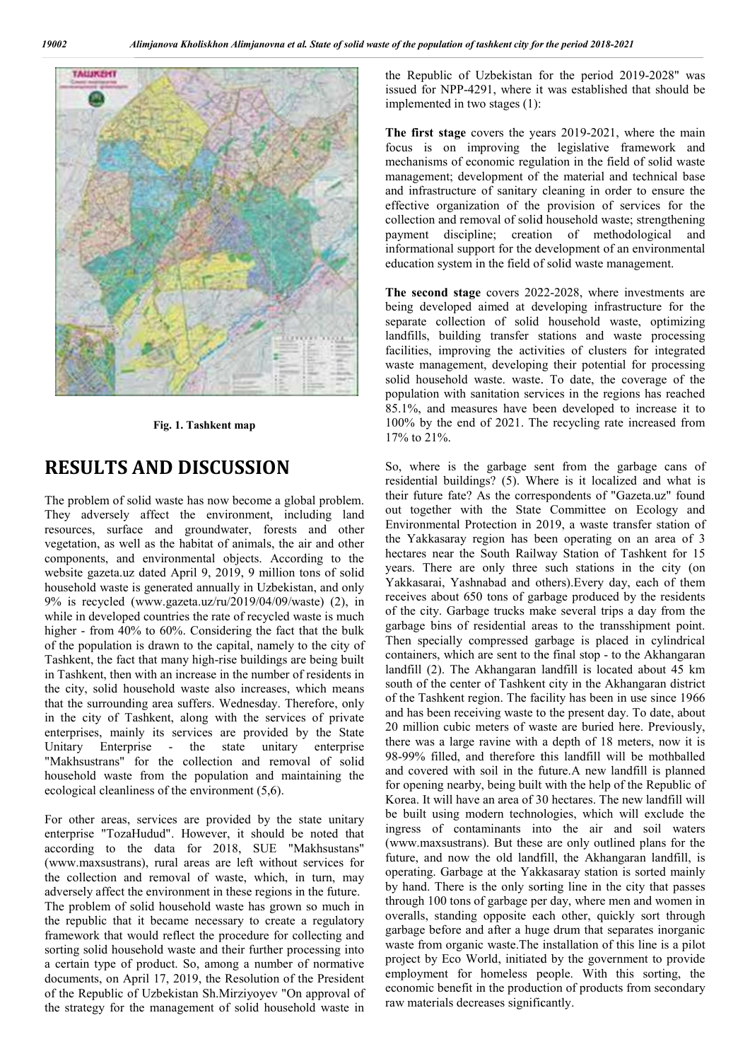

**Fig. 1. Tashkent map**

## **RESULTS AND DISCUSSION**

The problem of solid waste has now become a global problem. They adversely affect the environment, including land resources, surface and groundwater, forests and other vegetation, as well as the habitat of animals, the air and other components, and environmental objects. According to the website gazeta.uz dated April 9, 2019, 9 million tons of solid household waste is generated annually in Uzbekistan, and only 9% is recycled (www.gazeta.uz/ru/2019/04/09/waste) (2), in while in developed countries the rate of recycled waste is much higher - from 40% to 60%. Considering the fact that the bulk of the population is drawn to the capital, namely to the city of Tashkent, the fact that many high-rise buildings are being built in Tashkent, then with an increase in the number of residents in the city, solid household waste also increases, which means that the surrounding area suffers. Wednesday. Therefore, only in the city of Tashkent, along with the services of private enterprises, mainly its services are provided by the State Unitary Enterprise - the state unitary enterprise "Makhsustrans" for the collection and removal of solid household waste from the population and maintaining the ecological cleanliness of the environment (5,6). rise buildings are being built<br>in the number of residents in<br>llso increases, which means<br>Wednesday. Therefore, only<br>with the services of private<br>are provided by the State<br>state unitary enterprise

For other areas, services are provided by the state unitary enterprise "TozaHudud". However, it should be noted that according to the data for 2018, SUE "Makhsustans" (www.maxsustrans), rural areas are left without services for the collection and removal of waste, which, in turn, may adversely affect the environment in these regions in the future. The problem of solid household waste has grown so much in the republic that it became necessary to create a regulatory framework that would reflect the procedure for collecting and sorting solid household waste and their further processing into a certain type of product. So, among a number of normative documents, on April 17, 2019, the Resolution of the President of the Republic of Uzbekistan Sh.Mirziyoyev "On approval of the strategy for the management of solid household waste in wever, it should be noted than<br>the 2018, SUE "Makhsustans<br>cas are left without services for<br>of waste, which, in turn, may<br>ent in these regions in the future.

issued for NPP-4291, where it was established that should be implemented in two stages (1): issued for NPP-4291, where it was established that should be implemented in two stages (1):<br>The first stage covers the years 2019-2021, where the main the Republic of Uzbekistan for the period 2019-2028" was

focus is on improving the legislative framework and mechanisms of economic regulation in the field of solid waste management; development of the material and technical base and infrastructure of sanitary cleaning in order to ensure the effective organization of the provision of services for the collection and removal of solid household waste; strengthening payment discipline; creation of methodological and informational support for the development of an environmental education system in the field of solid waste management. focus is on improving the legislative framework and<br>mechanisms of economic regulation in the field of solid waste<br>management; development of the material and technical base<br>and infrastructure of sanitary cleaning in order

The second stage covers 2022-2028, where investments are being developed aimed at developing infrastructure for the separate collection of solid household waste, optimizing landfills, building transfer stations and waste processing facilities, improving the activities of clusters for integrated waste management, developing their potential for processing solid household waste. waste. To date, the coverage of the population with sanitation services in the regions has reached 85.1%, and measures have been developed to increase it to 100% by the end of 2021. The recycling rate increased from 17% to 21%. eveloped aimed at developing infrastructure for the collection of solid household waste, optimizing building transfer stations and waste processing, improving the activities of clusters for integrated anagement, developing

As the Republic of the Franchistan for the Period 2019 in the Republic of Uzbekistan for the period 2019.<br>
The End Mage overall the republic of the period 2019 in the Republic of the Period 2019 in the Republic of the Per So, where is the garbage sent from the garbage cans of residential buildings? (5). Where is it localized and what is their future fate? As the correspondents of "Gazeta.uz" found out together with the State Committee on Ecology and Environmental Protection in 2019, a waste transfer station of the Yakkasaray region has been operating on an area of 3 hectares near the South Railway Station of Tashkent for 15 years. There are only three such stations in the city (on Yakkasarai, Yashnabad and others).Every day, each of them receives about 650 tons of garbage produced by the residents of the city. Garbage trucks make several trips a day from the garbage bins of residential areas to the transshipment point. Then specially compressed garbage is placed in cylindrical containers, which are sent to the final stop - to the Akhangaran landfill (2). The Akhangaran landfill is located about 45 km south of the center of Tashkent city in the Akhangaran district of the Tashkent region. The facility has been in use since 1966 and has been receiving waste to the present day. To date, about 20 million cubic meters of waste are buried here. Previously, there was a large ravine with a depth of 18 meters, now it is 98-99% filled, and therefore this landfill will be mothballed and covered with soil in the future.A new landfill is planned for opening nearby, being built with the help of the Republic of Korea. It will have an area of 30 hectares. The new landfill will be built using modern technologies, which will exclude the ingress of contaminants into the air and soil waters (www.maxsustrans). But these are only outlined plans for the future, and now the old landfill, the Akhangaran landfill, is operating. Garbage at the Yakkasaray station is sorted mainly by hand. There is the only sorting line in the city that passes through 100 tons of garbage per day, where men and women in overalls, standing opposite each other, quickly sort through garbage before and after a huge drum that separates inorganic waste from organic waste.The installation of this line is a pilot project by Eco World, initiated by the government to provide employment for homeless people. With this sorting, the economic benefit in the production of products from secondary raw materials decreases significantly. with sanitation services in the regions has reached<br>I measures have been developed to increase it to<br>ne end of 2021. The recycling rate increased from<br>6.<br>is the garbage sent from the garbage cans of<br>buildings? (5). Where i tares near the South Railway Station of Tashkent for 15 rs. There are only three such stations in the city (on ckasarai, Yashnabad and others). Every day, each of them eives about 650 tons of garbage produced by the reside of the Tashkent region. The facility has been in use since 1966 and has been receiving waste to the present day. To date, about 20 million cubic meters of waste are buried here. Previously, there was a large ravine with a the old landfill, the Akhangaran landfill, is<br>ge at the Yakkasaray station is sorted mainly<br>is the only sorting line in the city that passes<br>of garbage per day, where men and women in ng opposite each other, quickly sort through<br>and after a huge drum that separates inorganic<br>mic waste.The installation of this line is a pilot<br>World, initiated by the government to provide the of solid work of the population of tashkem city the period 2018-2021<br>
the Republic of Ukristian for the period 2018-2021<br>
the Republic of Ukristian for the period 2018-2021<br>
The first stage covers the years 2019-2021,